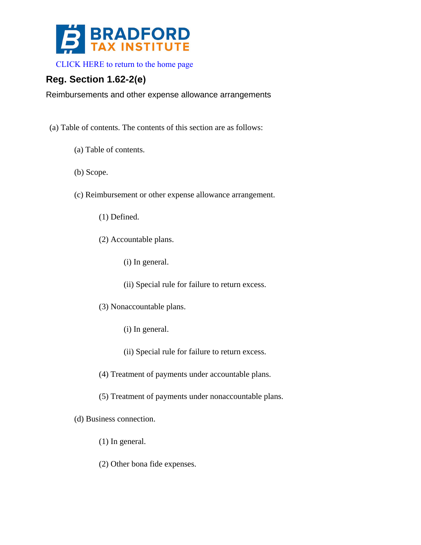

[CLICK HERE to return to the home page](http://www.bradfordtaxinstitute.com/) 

## **Reg. Section 1.62-2(e)**

Reimbursements and other expense allowance arrangements

- (a) Table of contents. The contents of this section are as follows:
	- (a) Table of contents.
	- (b) Scope.
	- (c) Reimbursement or other expense allowance arrangement.
		- (1) Defined.
		- (2) Accountable plans.
			- (i) In general.
			- (ii) Special rule for failure to return excess.
		- (3) Nonaccountable plans.
			- (i) In general.
			- (ii) Special rule for failure to return excess.
		- (4) Treatment of payments under accountable plans.
		- (5) Treatment of payments under nonaccountable plans.
	- (d) Business connection.
		- (1) In general.
		- (2) Other bona fide expenses.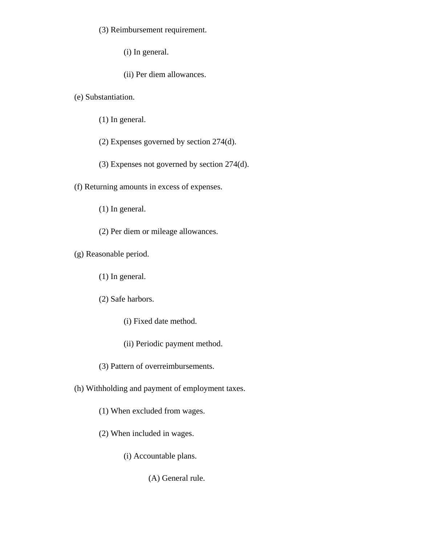(3) Reimbursement requirement.

(i) In general.

(ii) Per diem allowances.

(e) Substantiation.

(1) In general.

(2) Expenses governed by section 274(d).

(3) Expenses not governed by section 274(d).

(f) Returning amounts in excess of expenses.

(1) In general.

(2) Per diem or mileage allowances.

(g) Reasonable period.

(1) In general.

(2) Safe harbors.

(i) Fixed date method.

(ii) Periodic payment method.

(3) Pattern of overreimbursements.

(h) Withholding and payment of employment taxes.

(1) When excluded from wages.

(2) When included in wages.

(i) Accountable plans.

(A) General rule.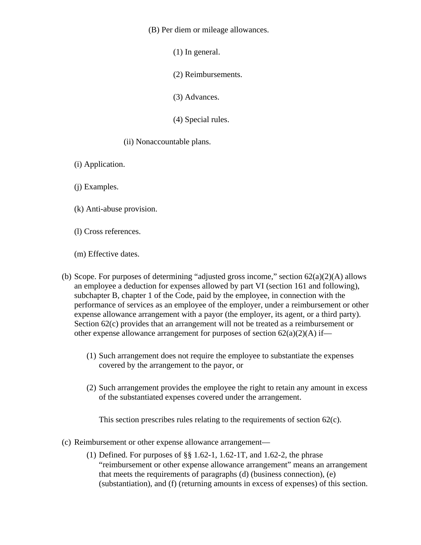(B) Per diem or mileage allowances.

(1) In general.

(2) Reimbursements.

(3) Advances.

(4) Special rules.

(ii) Nonaccountable plans.

- (i) Application.
- (j) Examples.
- (k) Anti-abuse provision.
- (l) Cross references.
- (m) Effective dates.
- (b) Scope. For purposes of determining "adjusted gross income," section  $62(a)(2)(A)$  allows an employee a deduction for expenses allowed by part VI (section 161 and following), subchapter B, chapter 1 of the Code, paid by the employee, in connection with the performance of services as an employee of the employer, under a reimbursement or other expense allowance arrangement with a payor (the employer, its agent, or a third party). Section 62(c) provides that an arrangement will not be treated as a reimbursement or other expense allowance arrangement for purposes of section  $62(a)(2)(A)$  if—
	- (1) Such arrangement does not require the employee to substantiate the expenses covered by the arrangement to the payor, or
	- (2) Such arrangement provides the employee the right to retain any amount in excess of the substantiated expenses covered under the arrangement.

This section prescribes rules relating to the requirements of section 62(c).

- (c) Reimbursement or other expense allowance arrangement—
	- (1) Defined. For purposes of §§ 1.62-1, 1.62-1T, and 1.62-2, the phrase "reimbursement or other expense allowance arrangement" means an arrangement that meets the requirements of paragraphs (d) (business connection), (e) (substantiation), and (f) (returning amounts in excess of expenses) of this section.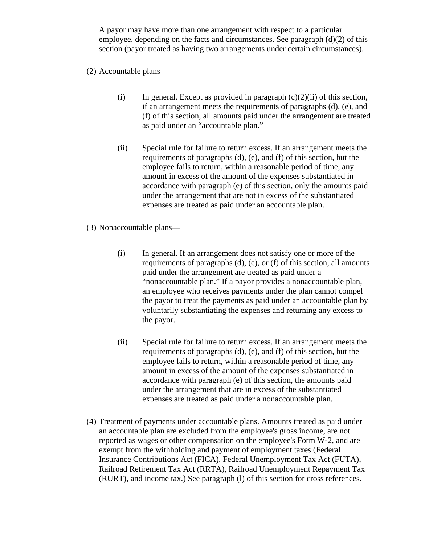A payor may have more than one arrangement with respect to a particular employee, depending on the facts and circumstances. See paragraph  $(d)(2)$  of this section (payor treated as having two arrangements under certain circumstances).

- (2) Accountable plans—
	- (i) In general. Except as provided in paragraph  $(c)(2)(ii)$  of this section, if an arrangement meets the requirements of paragraphs (d), (e), and (f) of this section, all amounts paid under the arrangement are treated as paid under an "accountable plan."
	- (ii) Special rule for failure to return excess. If an arrangement meets the requirements of paragraphs (d), (e), and (f) of this section, but the employee fails to return, within a reasonable period of time, any amount in excess of the amount of the expenses substantiated in accordance with paragraph (e) of this section, only the amounts paid under the arrangement that are not in excess of the substantiated expenses are treated as paid under an accountable plan.
- (3) Nonaccountable plans—
	- (i) In general. If an arrangement does not satisfy one or more of the requirements of paragraphs (d), (e), or (f) of this section, all amounts paid under the arrangement are treated as paid under a "nonaccountable plan." If a payor provides a nonaccountable plan, an employee who receives payments under the plan cannot compel the payor to treat the payments as paid under an accountable plan by voluntarily substantiating the expenses and returning any excess to the payor.
	- (ii) Special rule for failure to return excess. If an arrangement meets the requirements of paragraphs (d), (e), and (f) of this section, but the employee fails to return, within a reasonable period of time, any amount in excess of the amount of the expenses substantiated in accordance with paragraph (e) of this section, the amounts paid under the arrangement that are in excess of the substantiated expenses are treated as paid under a nonaccountable plan.
- (4) Treatment of payments under accountable plans. Amounts treated as paid under an accountable plan are excluded from the employee's gross income, are not reported as wages or other compensation on the employee's Form W-2, and are exempt from the withholding and payment of employment taxes (Federal Insurance Contributions Act (FICA), Federal Unemployment Tax Act (FUTA), Railroad Retirement Tax Act (RRTA), Railroad Unemployment Repayment Tax (RURT), and income tax.) See paragraph (l) of this section for cross references.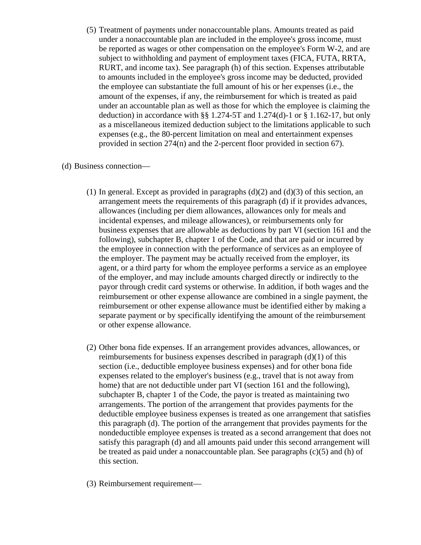(5) Treatment of payments under nonaccountable plans. Amounts treated as paid under a nonaccountable plan are included in the employee's gross income, must be reported as wages or other compensation on the employee's Form W-2, and are subject to withholding and payment of employment taxes (FICA, FUTA, RRTA, RURT, and income tax). See paragraph (h) of this section. Expenses attributable to amounts included in the employee's gross income may be deducted, provided the employee can substantiate the full amount of his or her expenses (i.e., the amount of the expenses, if any, the reimbursement for which is treated as paid under an accountable plan as well as those for which the employee is claiming the deduction) in accordance with  $\S$ § 1.274-5T and 1.274(d)-1 or § 1.162-17, but only as a miscellaneous itemized deduction subject to the limitations applicable to such expenses (e.g., the 80-percent limitation on meal and entertainment expenses provided in section 274(n) and the 2-percent floor provided in section 67).

## (d) Business connection—

- (1) In general. Except as provided in paragraphs  $(d)(2)$  and  $(d)(3)$  of this section, an arrangement meets the requirements of this paragraph (d) if it provides advances, allowances (including per diem allowances, allowances only for meals and incidental expenses, and mileage allowances), or reimbursements only for business expenses that are allowable as deductions by part VI (section 161 and the following), subchapter B, chapter 1 of the Code, and that are paid or incurred by the employee in connection with the performance of services as an employee of the employer. The payment may be actually received from the employer, its agent, or a third party for whom the employee performs a service as an employee of the employer, and may include amounts charged directly or indirectly to the payor through credit card systems or otherwise. In addition, if both wages and the reimbursement or other expense allowance are combined in a single payment, the reimbursement or other expense allowance must be identified either by making a separate payment or by specifically identifying the amount of the reimbursement or other expense allowance.
- (2) Other bona fide expenses. If an arrangement provides advances, allowances, or reimbursements for business expenses described in paragraph  $(d)(1)$  of this section (i.e., deductible employee business expenses) and for other bona fide expenses related to the employer's business (e.g., travel that is not away from home) that are not deductible under part VI (section 161 and the following), subchapter B, chapter 1 of the Code, the payor is treated as maintaining two arrangements. The portion of the arrangement that provides payments for the deductible employee business expenses is treated as one arrangement that satisfies this paragraph (d). The portion of the arrangement that provides payments for the nondeductible employee expenses is treated as a second arrangement that does not satisfy this paragraph (d) and all amounts paid under this second arrangement will be treated as paid under a nonaccountable plan. See paragraphs (c)(5) and (h) of this section.
- (3) Reimbursement requirement—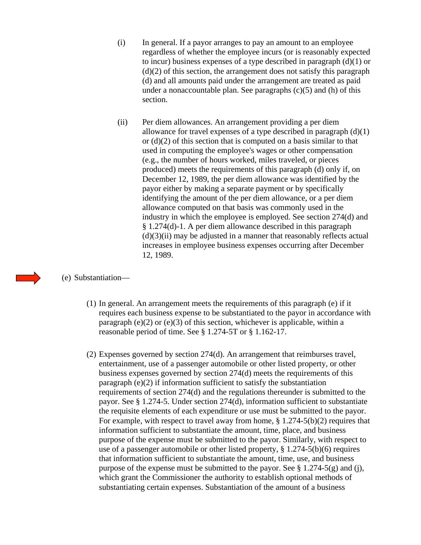- (i) In general. If a payor arranges to pay an amount to an employee regardless of whether the employee incurs (or is reasonably expected to incur) business expenses of a type described in paragraph  $(d)(1)$  or  $(d)(2)$  of this section, the arrangement does not satisfy this paragraph (d) and all amounts paid under the arrangement are treated as paid under a nonaccountable plan. See paragraphs  $(c)(5)$  and  $(h)$  of this section.
- (ii) Per diem allowances. An arrangement providing a per diem allowance for travel expenses of a type described in paragraph (d)(1) or (d)(2) of this section that is computed on a basis similar to that used in computing the employee's wages or other compensation (e.g., the number of hours worked, miles traveled, or pieces produced) meets the requirements of this paragraph (d) only if, on December 12, 1989, the per diem allowance was identified by the payor either by making a separate payment or by specifically identifying the amount of the per diem allowance, or a per diem allowance computed on that basis was commonly used in the industry in which the employee is employed. See section 274(d) and § 1.274(d)-1. A per diem allowance described in this paragraph  $(d)(3)(ii)$  may be adjusted in a manner that reasonably reflects actual increases in employee business expenses occurring after December 12, 1989.

## (e) Substantiation—

- (1) In general. An arrangement meets the requirements of this paragraph (e) if it requires each business expense to be substantiated to the payor in accordance with paragraph (e)(2) or (e)(3) of this section, whichever is applicable, within a reasonable period of time. See § 1.274-5T or § 1.162-17.
- (2) Expenses governed by section 274(d). An arrangement that reimburses travel, entertainment, use of a passenger automobile or other listed property, or other business expenses governed by section 274(d) meets the requirements of this paragraph (e)(2) if information sufficient to satisfy the substantiation requirements of section 274(d) and the regulations thereunder is submitted to the payor. See § 1.274-5. Under section 274(d), information sufficient to substantiate the requisite elements of each expenditure or use must be submitted to the payor. For example, with respect to travel away from home, § 1.274-5(b)(2) requires that information sufficient to substantiate the amount, time, place, and business purpose of the expense must be submitted to the payor. Similarly, with respect to use of a passenger automobile or other listed property, § 1.274-5(b)(6) requires that information sufficient to substantiate the amount, time, use, and business purpose of the expense must be submitted to the payor. See  $\S 1.274-5(g)$  and (j), which grant the Commissioner the authority to establish optional methods of substantiating certain expenses. Substantiation of the amount of a business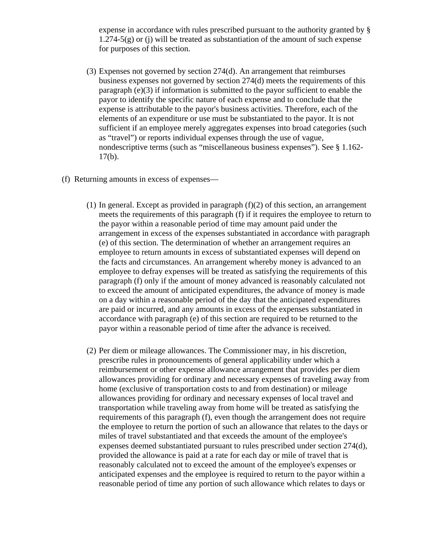expense in accordance with rules prescribed pursuant to the authority granted by §  $1.274-5(g)$  or (j) will be treated as substantiation of the amount of such expense for purposes of this section.

- (3) Expenses not governed by section 274(d). An arrangement that reimburses business expenses not governed by section 274(d) meets the requirements of this paragraph (e)(3) if information is submitted to the payor sufficient to enable the payor to identify the specific nature of each expense and to conclude that the expense is attributable to the payor's business activities. Therefore, each of the elements of an expenditure or use must be substantiated to the payor. It is not sufficient if an employee merely aggregates expenses into broad categories (such as "travel") or reports individual expenses through the use of vague, nondescriptive terms (such as "miscellaneous business expenses"). See § 1.162-  $17(b)$ .
- (f) Returning amounts in excess of expenses—
	- (1) In general. Except as provided in paragraph  $(f)(2)$  of this section, an arrangement meets the requirements of this paragraph (f) if it requires the employee to return to the payor within a reasonable period of time may amount paid under the arrangement in excess of the expenses substantiated in accordance with paragraph (e) of this section. The determination of whether an arrangement requires an employee to return amounts in excess of substantiated expenses will depend on the facts and circumstances. An arrangement whereby money is advanced to an employee to defray expenses will be treated as satisfying the requirements of this paragraph (f) only if the amount of money advanced is reasonably calculated not to exceed the amount of anticipated expenditures, the advance of money is made on a day within a reasonable period of the day that the anticipated expenditures are paid or incurred, and any amounts in excess of the expenses substantiated in accordance with paragraph (e) of this section are required to be returned to the payor within a reasonable period of time after the advance is received.
	- (2) Per diem or mileage allowances. The Commissioner may, in his discretion, prescribe rules in pronouncements of general applicability under which a reimbursement or other expense allowance arrangement that provides per diem allowances providing for ordinary and necessary expenses of traveling away from home (exclusive of transportation costs to and from destination) or mileage allowances providing for ordinary and necessary expenses of local travel and transportation while traveling away from home will be treated as satisfying the requirements of this paragraph (f), even though the arrangement does not require the employee to return the portion of such an allowance that relates to the days or miles of travel substantiated and that exceeds the amount of the employee's expenses deemed substantiated pursuant to rules prescribed under section 274(d), provided the allowance is paid at a rate for each day or mile of travel that is reasonably calculated not to exceed the amount of the employee's expenses or anticipated expenses and the employee is required to return to the payor within a reasonable period of time any portion of such allowance which relates to days or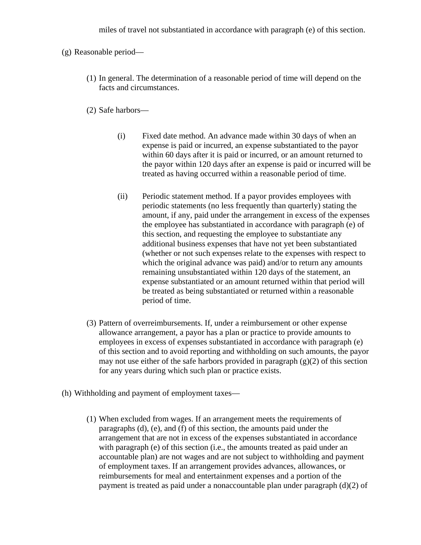miles of travel not substantiated in accordance with paragraph (e) of this section.

(g) Reasonable period—

(1) In general. The determination of a reasonable period of time will depend on the facts and circumstances.

(2) Safe harbors—

- (i) Fixed date method. An advance made within 30 days of when an expense is paid or incurred, an expense substantiated to the payor within 60 days after it is paid or incurred, or an amount returned to the payor within 120 days after an expense is paid or incurred will be treated as having occurred within a reasonable period of time.
- (ii) Periodic statement method. If a payor provides employees with periodic statements (no less frequently than quarterly) stating the amount, if any, paid under the arrangement in excess of the expenses the employee has substantiated in accordance with paragraph (e) of this section, and requesting the employee to substantiate any additional business expenses that have not yet been substantiated (whether or not such expenses relate to the expenses with respect to which the original advance was paid) and/or to return any amounts remaining unsubstantiated within 120 days of the statement, an expense substantiated or an amount returned within that period will be treated as being substantiated or returned within a reasonable period of time.
- (3) Pattern of overreimbursements. If, under a reimbursement or other expense allowance arrangement, a payor has a plan or practice to provide amounts to employees in excess of expenses substantiated in accordance with paragraph (e) of this section and to avoid reporting and withholding on such amounts, the payor may not use either of the safe harbors provided in paragraph  $(g)(2)$  of this section for any years during which such plan or practice exists.
- (h) Withholding and payment of employment taxes—
	- (1) When excluded from wages. If an arrangement meets the requirements of paragraphs (d), (e), and (f) of this section, the amounts paid under the arrangement that are not in excess of the expenses substantiated in accordance with paragraph (e) of this section (i.e., the amounts treated as paid under an accountable plan) are not wages and are not subject to withholding and payment of employment taxes. If an arrangement provides advances, allowances, or reimbursements for meal and entertainment expenses and a portion of the payment is treated as paid under a nonaccountable plan under paragraph (d)(2) of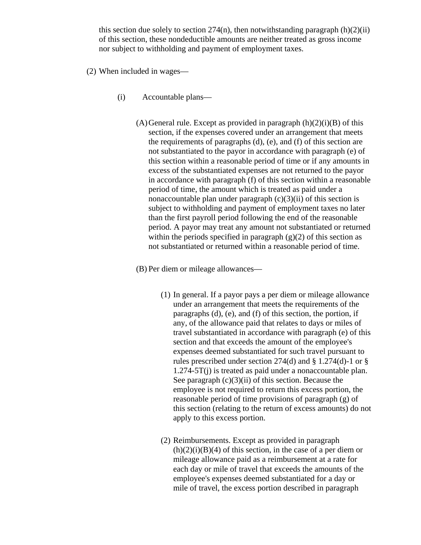this section due solely to section  $274(n)$ , then notwithstanding paragraph  $(h)(2)(ii)$ of this section, these nondeductible amounts are neither treated as gross income nor subject to withholding and payment of employment taxes.

- (2) When included in wages—
	- (i) Accountable plans—
		- $(A)$ General rule. Except as provided in paragraph  $(h)(2)(i)(B)$  of this section, if the expenses covered under an arrangement that meets the requirements of paragraphs (d), (e), and (f) of this section are not substantiated to the payor in accordance with paragraph (e) of this section within a reasonable period of time or if any amounts in excess of the substantiated expenses are not returned to the payor in accordance with paragraph (f) of this section within a reasonable period of time, the amount which is treated as paid under a nonaccountable plan under paragraph  $(c)(3)(ii)$  of this section is subject to withholding and payment of employment taxes no later than the first payroll period following the end of the reasonable period. A payor may treat any amount not substantiated or returned within the periods specified in paragraph  $(g)(2)$  of this section as not substantiated or returned within a reasonable period of time.

(B) Per diem or mileage allowances—

- (1) In general. If a payor pays a per diem or mileage allowance under an arrangement that meets the requirements of the paragraphs (d), (e), and (f) of this section, the portion, if any, of the allowance paid that relates to days or miles of travel substantiated in accordance with paragraph (e) of this section and that exceeds the amount of the employee's expenses deemed substantiated for such travel pursuant to rules prescribed under section 274(d) and  $\S$  1.274(d)-1 or  $\S$ 1.274-5T(j) is treated as paid under a nonaccountable plan. See paragraph  $(c)(3)(ii)$  of this section. Because the employee is not required to return this excess portion, the reasonable period of time provisions of paragraph (g) of this section (relating to the return of excess amounts) do not apply to this excess portion.
- (2) Reimbursements. Except as provided in paragraph  $(h)(2)(i)(B)(4)$  of this section, in the case of a per diem or mileage allowance paid as a reimbursement at a rate for each day or mile of travel that exceeds the amounts of the employee's expenses deemed substantiated for a day or mile of travel, the excess portion described in paragraph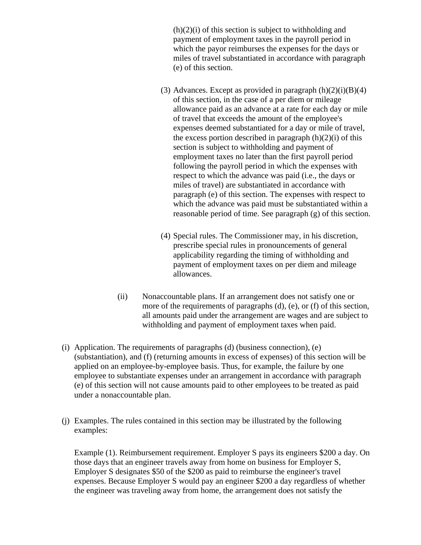$(h)(2)(i)$  of this section is subject to withholding and payment of employment taxes in the payroll period in which the payor reimburses the expenses for the days or miles of travel substantiated in accordance with paragraph (e) of this section.

- (3) Advances. Except as provided in paragraph  $(h)(2)(i)(B)(4)$ of this section, in the case of a per diem or mileage allowance paid as an advance at a rate for each day or mile of travel that exceeds the amount of the employee's expenses deemed substantiated for a day or mile of travel, the excess portion described in paragraph  $(h)(2)(i)$  of this section is subject to withholding and payment of employment taxes no later than the first payroll period following the payroll period in which the expenses with respect to which the advance was paid (i.e., the days or miles of travel) are substantiated in accordance with paragraph (e) of this section. The expenses with respect to which the advance was paid must be substantiated within a reasonable period of time. See paragraph (g) of this section.
- (4) Special rules. The Commissioner may, in his discretion, prescribe special rules in pronouncements of general applicability regarding the timing of withholding and payment of employment taxes on per diem and mileage allowances.
- (ii) Nonaccountable plans. If an arrangement does not satisfy one or more of the requirements of paragraphs (d), (e), or (f) of this section, all amounts paid under the arrangement are wages and are subject to withholding and payment of employment taxes when paid.
- (i) Application. The requirements of paragraphs (d) (business connection), (e) (substantiation), and (f) (returning amounts in excess of expenses) of this section will be applied on an employee-by-employee basis. Thus, for example, the failure by one employee to substantiate expenses under an arrangement in accordance with paragraph (e) of this section will not cause amounts paid to other employees to be treated as paid under a nonaccountable plan.
- (j) Examples. The rules contained in this section may be illustrated by the following examples:

Example (1). Reimbursement requirement. Employer S pays its engineers \$200 a day. On those days that an engineer travels away from home on business for Employer S, Employer S designates \$50 of the \$200 as paid to reimburse the engineer's travel expenses. Because Employer S would pay an engineer \$200 a day regardless of whether the engineer was traveling away from home, the arrangement does not satisfy the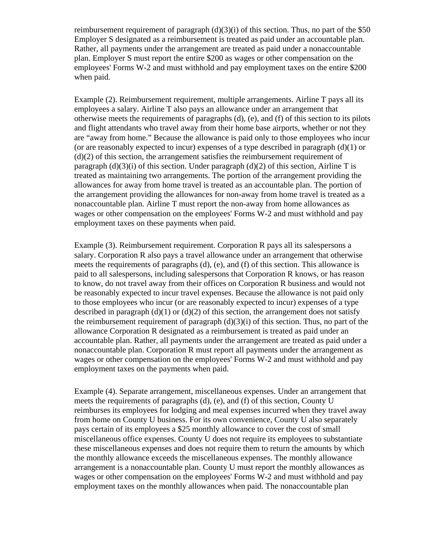reimbursement requirement of paragraph  $(d)(3)(i)$  of this section. Thus, no part of the \$50 Employer S designated as a reimbursement is treated as paid under an accountable plan. Rather, all payments under the arrangement are treated as paid under a nonaccountable plan. Employer S must report the entire \$200 as wages or other compensation on the employees' Forms W-2 and must withhold and pay employment taxes on the entire \$200 when paid.

Example (2). Reimbursement requirement, multiple arrangements. Airline T pays all its employees a salary. Airline T also pays an allowance under an arrangement that otherwise meets the requirements of paragraphs (d), (e), and (f) of this section to its pilots and flight attendants who travel away from their home base airports, whether or not they are "away from home." Because the allowance is paid only to those employees who incur (or are reasonably expected to incur) expenses of a type described in paragraph (d)(1) or (d)(2) of this section, the arrangement satisfies the reimbursement requirement of paragraph  $(d)(3)(i)$  of this section. Under paragraph  $(d)(2)$  of this section, Airline T is treated as maintaining two arrangements. The portion of the arrangement providing the allowances for away from home travel is treated as an accountable plan. The portion of the arrangement providing the allowances for non-away from home travel is treated as a nonaccountable plan. Airline T must report the non-away from home allowances as wages or other compensation on the employees' Forms W-2 and must withhold and pay employment taxes on these payments when paid.

Example (3). Reimbursement requirement. Corporation R pays all its salespersons a salary. Corporation R also pays a travel allowance under an arrangement that otherwise meets the requirements of paragraphs (d), (e), and (f) of this section. This allowance is paid to all salespersons, including salespersons that Corporation R knows, or has reason to know, do not travel away from their offices on Corporation R business and would not be reasonably expected to incur travel expenses. Because the allowance is not paid only to those employees who incur (or are reasonably expected to incur) expenses of a type described in paragraph  $(d)(1)$  or  $(d)(2)$  of this section, the arrangement does not satisfy the reimbursement requirement of paragraph  $(d)(3)(i)$  of this section. Thus, no part of the allowance Corporation R designated as a reimbursement is treated as paid under an accountable plan. Rather, all payments under the arrangement are treated as paid under a nonaccountable plan. Corporation R must report all payments under the arrangement as wages or other compensation on the employees' Forms W-2 and must withhold and pay employment taxes on the payments when paid.

Example (4). Separate arrangement, miscellaneous expenses. Under an arrangement that meets the requirements of paragraphs (d), (e), and (f) of this section, County U reimburses its employees for lodging and meal expenses incurred when they travel away from home on County U business. For its own convenience, County U also separately pays certain of its employees a \$25 monthly allowance to cover the cost of small miscellaneous office expenses. County U does not require its employees to substantiate these miscellaneous expenses and does not require them to return the amounts by which the monthly allowance exceeds the miscellaneous expenses. The monthly allowance arrangement is a nonaccountable plan. County U must report the monthly allowances as wages or other compensation on the employees' Forms W-2 and must withhold and pay employment taxes on the monthly allowances when paid. The nonaccountable plan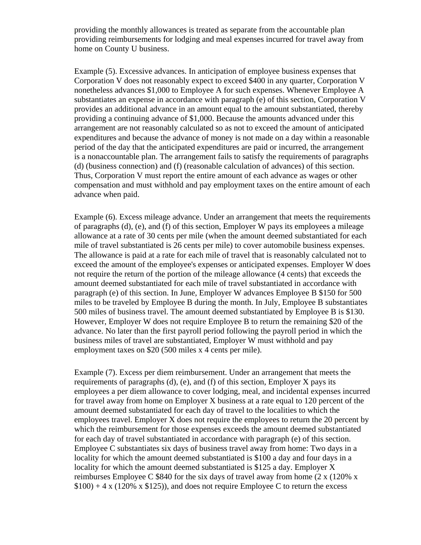providing the monthly allowances is treated as separate from the accountable plan providing reimbursements for lodging and meal expenses incurred for travel away from home on County U business.

Example (5). Excessive advances. In anticipation of employee business expenses that Corporation V does not reasonably expect to exceed \$400 in any quarter, Corporation V nonetheless advances \$1,000 to Employee A for such expenses. Whenever Employee A substantiates an expense in accordance with paragraph (e) of this section, Corporation V provides an additional advance in an amount equal to the amount substantiated, thereby providing a continuing advance of \$1,000. Because the amounts advanced under this arrangement are not reasonably calculated so as not to exceed the amount of anticipated expenditures and because the advance of money is not made on a day within a reasonable period of the day that the anticipated expenditures are paid or incurred, the arrangement is a nonaccountable plan. The arrangement fails to satisfy the requirements of paragraphs (d) (business connection) and (f) (reasonable calculation of advances) of this section. Thus, Corporation V must report the entire amount of each advance as wages or other compensation and must withhold and pay employment taxes on the entire amount of each advance when paid.

Example (6). Excess mileage advance. Under an arrangement that meets the requirements of paragraphs (d), (e), and (f) of this section, Employer W pays its employees a mileage allowance at a rate of 30 cents per mile (when the amount deemed substantiated for each mile of travel substantiated is 26 cents per mile) to cover automobile business expenses. The allowance is paid at a rate for each mile of travel that is reasonably calculated not to exceed the amount of the employee's expenses or anticipated expenses. Employer W does not require the return of the portion of the mileage allowance (4 cents) that exceeds the amount deemed substantiated for each mile of travel substantiated in accordance with paragraph (e) of this section. In June, Employer W advances Employee B \$150 for 500 miles to be traveled by Employee B during the month. In July, Employee B substantiates 500 miles of business travel. The amount deemed substantiated by Employee B is \$130. However, Employer W does not require Employee B to return the remaining \$20 of the advance. No later than the first payroll period following the payroll period in which the business miles of travel are substantiated, Employer W must withhold and pay employment taxes on \$20 (500 miles x 4 cents per mile).

Example (7). Excess per diem reimbursement. Under an arrangement that meets the requirements of paragraphs (d), (e), and (f) of this section, Employer X pays its employees a per diem allowance to cover lodging, meal, and incidental expenses incurred for travel away from home on Employer X business at a rate equal to 120 percent of the amount deemed substantiated for each day of travel to the localities to which the employees travel. Employer X does not require the employees to return the 20 percent by which the reimbursement for those expenses exceeds the amount deemed substantiated for each day of travel substantiated in accordance with paragraph (e) of this section. Employee C substantiates six days of business travel away from home: Two days in a locality for which the amount deemed substantiated is \$100 a day and four days in a locality for which the amount deemed substantiated is \$125 a day. Employer X reimburses Employee C \$840 for the six days of travel away from home (2 x (120% x  $$100$ ) + 4 x (120% x  $$125$ )), and does not require Employee C to return the excess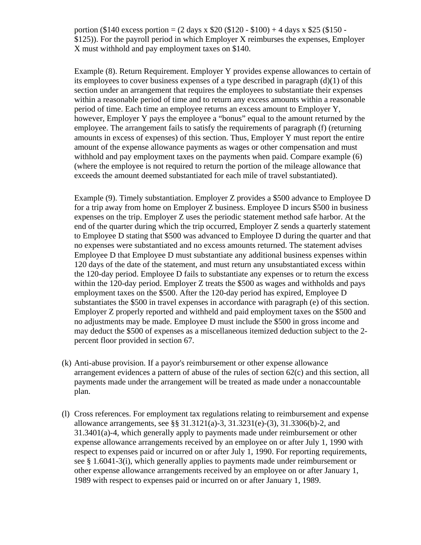portion (\$140 excess portion =  $(2 \text{ days } x \text{ } $20 ($120 - $100) + 4 \text{ days } x \text{ } $25 ($150 -$ \$125)). For the payroll period in which Employer X reimburses the expenses, Employer X must withhold and pay employment taxes on \$140.

Example (8). Return Requirement. Employer Y provides expense allowances to certain of its employees to cover business expenses of a type described in paragraph (d)(1) of this section under an arrangement that requires the employees to substantiate their expenses within a reasonable period of time and to return any excess amounts within a reasonable period of time. Each time an employee returns an excess amount to Employer Y, however, Employer Y pays the employee a "bonus" equal to the amount returned by the employee. The arrangement fails to satisfy the requirements of paragraph (f) (returning amounts in excess of expenses) of this section. Thus, Employer Y must report the entire amount of the expense allowance payments as wages or other compensation and must withhold and pay employment taxes on the payments when paid. Compare example (6) (where the employee is not required to return the portion of the mileage allowance that exceeds the amount deemed substantiated for each mile of travel substantiated).

Example (9). Timely substantiation. Employer Z provides a \$500 advance to Employee D for a trip away from home on Employer Z business. Employee D incurs \$500 in business expenses on the trip. Employer Z uses the periodic statement method safe harbor. At the end of the quarter during which the trip occurred, Employer Z sends a quarterly statement to Employee D stating that \$500 was advanced to Employee D during the quarter and that no expenses were substantiated and no excess amounts returned. The statement advises Employee D that Employee D must substantiate any additional business expenses within 120 days of the date of the statement, and must return any unsubstantiated excess within the 120-day period. Employee D fails to substantiate any expenses or to return the excess within the 120-day period. Employer Z treats the \$500 as wages and withholds and pays employment taxes on the \$500. After the 120-day period has expired, Employee D substantiates the \$500 in travel expenses in accordance with paragraph (e) of this section. Employer Z properly reported and withheld and paid employment taxes on the \$500 and no adjustments may be made. Employee D must include the \$500 in gross income and may deduct the \$500 of expenses as a miscellaneous itemized deduction subject to the 2 percent floor provided in section 67.

- (k) Anti-abuse provision. If a payor's reimbursement or other expense allowance arrangement evidences a pattern of abuse of the rules of section 62(c) and this section, all payments made under the arrangement will be treated as made under a nonaccountable plan.
- (l) Cross references. For employment tax regulations relating to reimbursement and expense allowance arrangements, see §§ 31.3121(a)-3, 31.3231(e)-(3), 31.3306(b)-2, and 31.3401(a)-4, which generally apply to payments made under reimbursement or other expense allowance arrangements received by an employee on or after July 1, 1990 with respect to expenses paid or incurred on or after July 1, 1990. For reporting requirements, see § 1.6041-3(i), which generally applies to payments made under reimbursement or other expense allowance arrangements received by an employee on or after January 1, 1989 with respect to expenses paid or incurred on or after January 1, 1989.